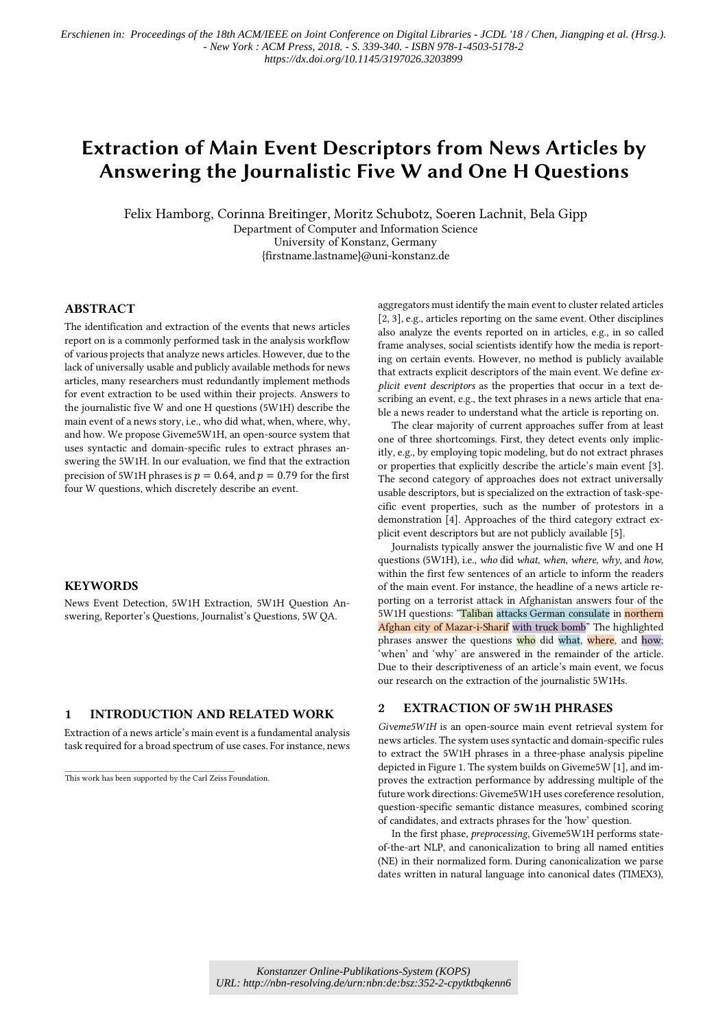# Extraction of Main Event Descriptors from News Articles by Answering the Journalistic Five W and One H Questions

Felix Hamborg, Corinna Breitinger, Moritz Schubotz, Soeren Lachnit, Bela Gipp Department of Computer and Information Science University of Konstanz, Germany {firstname.lastname}@uni-konstanz.de

# ABSTRACT

The identification and extraction of the events that news articles report on is a commonly performed task in the analysis workflow of various projects that analyze news articles. However, due to the lack of universally usable and publicly available methods for news articles, many researchers must redundantly implement methods for event extraction to be used within their projects. Answers to the journalistic five W and one H questions (5W1H) describe the main event of a news story, i.e., who did what, when, where, why, and how. We propose Giveme5W1H, an open-source system that uses syntactic and domain-specific rules to extract phrases answering the 5W1H. In our evaluation, we find that the extraction precision of 5W1H phrases is  $p = 0.64$ , and  $p = 0.79$  for the first four W questions, which discretely describe an event.

#### **KEYWORDS**

News Event Detection, 5W1H Extraction, 5W1H Question Answering, Reporter's Questions, Journalist's Questions, 5W QA.

# 1 INTRODUCTION AND RELATED WORK

Extraction of a news article's main event is a fundamental analysis task required for a broad spectrum of use cases. For instance, news

This work has been supported by the Carl Zeiss Foundation.

\_\_\_\_\_\_\_\_\_\_\_\_\_\_\_\_\_\_\_\_\_\_\_\_\_\_\_\_\_\_\_\_\_\_\_\_\_\_\_\_\_\_

aggregators must identify the main event to cluster related articles [2, 3], e.g., articles reporting on the same event. Other disciplines also analyze the events reported on in articles, e.g., in so called frame analyses, social scientists identify how the media is reporting on certain events. However, no method is publicly available that extracts explicit descriptors of the main event. We define *explicit event descriptors* as the properties that occur in a text describing an event, e.g., the text phrases in a news article that enable a news reader to understand what the article is reporting on.

The clear majority of current approaches suffer from at least one of three shortcomings. First, they detect events only implicitly, e.g., by employing topic modeling, but do not extract phrases or properties that explicitly describe the article's main event [3]. The second category of approaches does not extract universally usable descriptors, but is specialized on the extraction of task-specific event properties, such as the number of protestors in a demonstration [4]. Approaches of the third category extract explicit event descriptors but are not publicly available [5].

Journalists typically answer the journalistic five W and one H questions (5W1H), i.e., *who* did *what*, *when*, *where*, *why*, and *how*, within the first few sentences of an article to inform the readers of the main event. For instance, the headline of a news article reporting on a terrorist attack in Afghanistan answers four of the 5W1H questions: "Taliban attacks German consulate in northern Afghan city of Mazar-i-Sharif with truck bomb" The highlighted phrases answer the questions who did what, where, and how; 'when' and 'why' are answered in the remainder of the article. Due to their descriptiveness of an article's main event, we focus our research on the extraction of the journalistic 5W1Hs.

#### 2 EXTRACTION OF 5W1H PHRASES

*Giveme5W1H* is an open-source main event retrieval system for news articles. The system uses syntactic and domain-specific rules to extract the 5W1H phrases in a three-phase analysis pipeline depicted in Figure 1. The system builds on Giveme5W [1], and improves the extraction performance by addressing multiple of the future work directions: Giveme5W1H uses coreference resolution, question-specific semantic distance measures, combined scoring of candidates, and extracts phrases for the 'how' question.

In the first phase, *preprocessing*, Giveme5W1H performs stateof-the-art NLP, and canonicalization to bring all named entities (NE) in their normalized form. During canonicalization we parse dates written in natural language into canonical dates (TIMEX3),